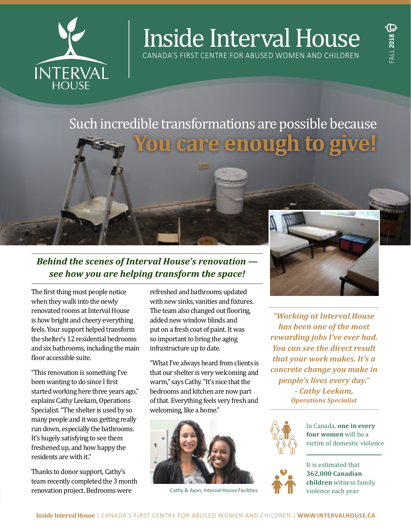

# Inside Interval House

CANADA'S FIRST CENTRE FOR ABUSED WOMEN AND CHILDREN

## Such incredible transformations are possible because **You care enough to give!**

## *Behind the scenes of Interval House's renovation see how you are helping transform the space!*

The first thing most people notice when they walk into the newly renovated rooms at Interval House is how bright and cheery everything feels. Your support helped transform the shelter's 12 residential bedrooms and six bathrooms, including the main floor accessible suite.

"This renovation is something I've been wanting to do since I first started working here three years ago," explains Cathy Leekam, Operations Specialist. "The shelter is used by so many people and it was getting really run down, especially the bathrooms. It's hugely satisfying to see them freshened up, and how happy the residents are with it."

Thanks to donor support, Cathy's team recently completed the 3 month renovation project. Bedrooms were

refreshed and bathrooms updated with new sinks, vanities and fixtures. The team also changed out flooring, added new window blinds and put on a fresh coat of paint. It was so important to bring the aging infrastructure up to date.

"What I've always heard from clients is that our shelter is very welcoming and warm," says Cathy. "It's nice that the bedrooms and kitchen are now part of that. Everything feels very fresh and welcoming, like a home."



Cathy & Ayan, Interval House Facilities



*"Working at Interval House has been one of the most rewarding jobs I've ever had. You can see the direct result that your work makes. It's a concrete change you make in people's lives every day." - Cathy Leekam,*

*Operations Specialist*



In Canada, **one in every four women** will be a victim of domestic violence



It is estimated that **362,000 Canadian children** witness family violence each year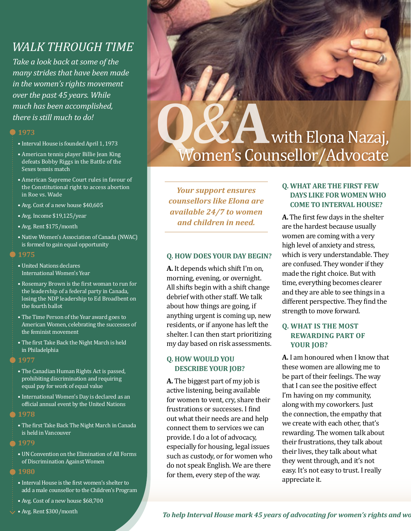## *WALK THROUGH TIME*

*Take a look back at some of the many strides that have been made in the women's rights movement over the past 45 years. While much has been accomplished, there is still much to do!*

#### **1973**

- Interval House is founded April 1, 1973
- American tennis player Billie Jean King defeats Bobby Riggs in the Battle of the Sexes tennis match
- American Supreme Court rules in favour of the Constitutional right to access abortion in Roe vs. Wade
- Avg. Cost of a new house \$40,605
- Avg. Income \$19,125/year
- Avg. Rent \$175/month
- Native Women's Association of Canada (NWAC) is formed to gain equal opportunity
- **1975**
- United Nations declares International Women's Year
- Rosemary Brown is the first woman to run for the leadership of a federal party in Canada, losing the NDP leadership to Ed Broadbent on the fourth ballot
- The Time Person of the Year award goes to American Women, celebrating the successes of the feminist movement
- The first Take Back the Night March is held in Philadelphia
- **1977**
	- The Canadian Human Rights Act is passed, prohibiting discrimination and requiring equal pay for work of equal value
	- International Women's Day is declared as an official annual event by the United Nations
- **1978**
	- The first Take Back The Night March in Canada is held in Vancouver

#### **1979**

- UN Convention on the Elimination of All Forms of Discrimination Against Women
- **1980**
	- Interval House is the first women's shelter to add a male counsellor to the Children's Program
	- Avg. Cost of a new house \$68,700
	- Avg. Rent \$300/month

## **Q***&***A**  With Elona Nazaj, Women's Counsellor/Advocate

*Your support ensures counsellors like Elona are available 24/7 to women and children in need.* 

#### **Q. HOW DOES YOUR DAY BEGIN?**

**A.** It depends which shift I'm on, morning, evening, or overnight. All shifts begin with a shift change debrief with other staff. We talk about how things are going, if anything urgent is coming up, new residents, or if anyone has left the shelter. I can then start prioritizing my day based on risk assessments.

#### **Q. HOW WOULD YOU DESCRIBE YOUR JOB?**

**A.** The biggest part of my job is active listening, being available for women to vent, cry, share their frustrations or successes. I find out what their needs are and help connect them to services we can provide. I do a lot of advocacy, especially for housing, legal issues such as custody, or for women who do not speak English. We are there for them, every step of the way.

#### **Q. WHAT ARE THE FIRST FEW DAYS LIKE FOR WOMEN WHO COME TO INTERVAL HOUSE?**

**A.** The first few days in the shelter are the hardest because usually women are coming with a very high level of anxiety and stress, which is very understandable. They are confused. They wonder if they made the right choice. But with time, everything becomes clearer and they are able to see things in a different perspective. They find the strength to move forward.

#### **Q. WHAT IS THE MOST REWARDING PART OF YOUR JOB?**

**A.** I am honoured when I know that these women are allowing me to be part of their feelings. The way that I can see the positive effect I'm having on my community, along with my coworkers. Just the connection, the empathy that we create with each other, that's rewarding. The women talk about their frustrations, they talk about their lives, they talk about what they went through, and it's not easy. It's not easy to trust. I really appreciate it.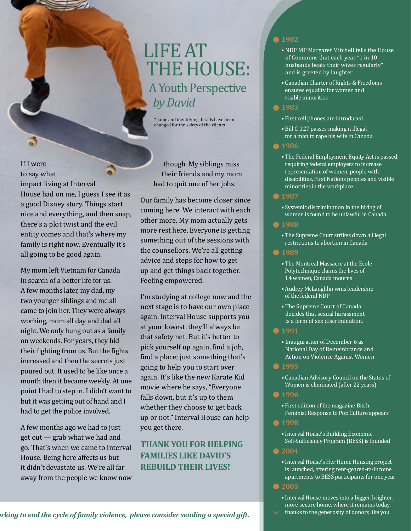## LIFE AT THE HOUSE: A Youth Perspective *by David*

\*name and identifying details have been changed for the safety of the clients

If I were to say what impact living at Interval House had on me, I guess I see it as a good Disney story. Things start nice and everything, and then snap, there's a plot twist and the evil entity comes and that's where my family is right now. Eventually it's all going to be good again.

My mom left Vietnam for Canada in search of a better life for us. A few months later, my dad, my two younger siblings and me all came to join her. They were always working, mom all day and dad all night. We only hung out as a family on weekends. For years, they hid their fighting from us. But the fights increased and then the secrets just poured out. It used to be like once a month then it became weekly. At one point I had to step in. I didn't want to but it was getting out of hand and I had to get the police involved.

A few months ago we had to just get out — grab what we had and go. That's when we came to Interval House. Being here affects us but it didn't devastate us. We're all far away from the people we know now

though. My siblings miss their friends and my mom had to quit one of her jobs.

Our family has become closer since coming here. We interact with each other more. My mom actually gets more rest here. Everyone is getting something out of the sessions with the counsellors. We're all getting advice and steps for how to get up and get things back together. Feeling empowered.

I'm studying at college now and the next stage is to have our own place again. Interval House supports you at your lowest, they'll always be that safety net. But it's better to pick yourself up again, find a job, find a place; just something that's going to help you to start over again. It's like the new Karate Kid movie where he says, "Everyone falls down, but it's up to them whether they choose to get back up or not." Interval House can help you get there.

### **THANK YOU FOR HELPING FAMILIES LIKE DAVID'S REBUILD THEIR LIVES!**

#### **1982**

- NDP MP Margaret Mitchell tells the House of Commons that each year "1 in 10 husbands beats their wives regularly" and is greeted by laughter
- Canadian Charter of Rights & Freedoms ensures equality for women and visible minorities

#### **1983**

- First cell phones are introduced
- Bill C-127 passes making it illegal for a man to rape his wife in Canada

#### **1986**

• The Federal Employment Equity Act is passed, requiring federal employers to increase representation of women, people with disabilities, First Nations peoples and visible minorities in the workplace

#### **1987**

• Systemic discrimination in the hiring of women is found to be unlawful in Canada

#### **1988**

• The Supreme Court strikes down all legal restrictions to abortion in Canada

#### **1989**

- The Montreal Massacre at the Ecole Polytechnique claims the lives of 14 women, Canada mourns
- Audrey McLaughlin wins leadership of the federal NDP
- The Supreme Court of Canada decides that sexual harassment is a form of sex discrimination.

#### **1991**

• Inauguration of December 6 as National Day of Remembrance and Action on Violence Against Women

#### **1995**

• Canadian Advisory Council on the Status of Women is eliminated (after 22 years)

#### **1996**

• First edition of the magazine Bitch: Feminist Response to Pop Culture appears

#### **1998**

• Interval House's Building Economic Self-Sufficiency Program (BESS) is founded

#### **2004**

- Interval House's Her Home Housing project is launched, offering rent-geared-to-income apartments to BESS participants for one year **2005**
	- Interval House moves into a bigger, brighter, more secure home, where it remains today,
- thanks to the generosity of donors like you

*To help Interval House mark 45 years of advocating for women's rights and working to end the cycle of family violence, please consider sending a special gift.*